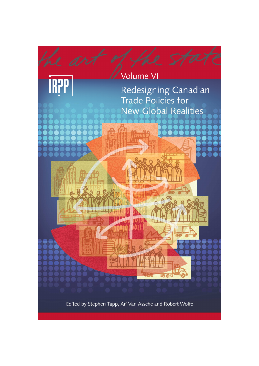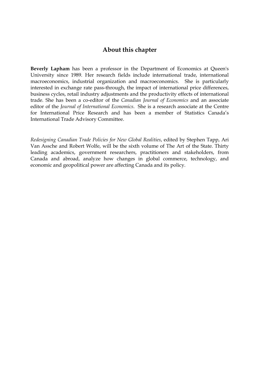# **About this chapter**

**Beverly Lapham** has been a professor in the Department of Economics at Queen's University since 1989. Her research fields include international trade, international macroeconomics, industrial organization and macroeconomics. She is particularly interested in exchange rate pass-through, the impact of international price differences, business cycles, retail industry adjustments and the productivity effects of international trade. She has been a co-editor of the *Canadian Journal of Economics* and an associate editor of the *Journal of International Economics*. She is a research associate at the Centre for International Price Research and has been a member of Statistics Canada's International Trade Advisory Committee.

*Redesigning Canadian Trade Policies for New Global Realities*, edited by Stephen Tapp, Ari Van Assche and Robert Wolfe, will be the sixth volume of The Art of the State. Thirty leading academics, government researchers, practitioners and stakeholders, from Canada and abroad, analyze how changes in global commerce, technology, and economic and geopolitical power are affecting Canada and its policy.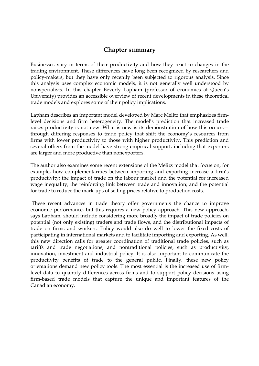# **Chapter summary**

Businesses vary in terms of their productivity and how they react to changes in the trading environment. These differences have long been recognized by researchers and policy-makers, but they have only recently been subjected to rigorous analysis. Since this analysis uses complex economic models, it is not generally well understood by nonspecialists. In this chapter Beverly Lapham (professor of economics at Queen's University) provides an accessible overview of recent developments in these theoretical trade models and explores some of their policy implications.

Lapham describes an important model developed by Marc Melitz that emphasizes firmlevel decisions and firm heterogeneity. The model's prediction that increased trade raises productivity is not new. What is new is its demonstration of how this occurs through differing responses to trade policy that shift the economy's resources from firms with lower productivity to those with higher productivity. This prediction and several others from the model have strong empirical support, including that exporters are larger and more productive than nonexporters.

The author also examines some recent extensions of the Melitz model that focus on, for example, how complementarities between importing and exporting increase a firm's productivity; the impact of trade on the labour market and the potential for increased wage inequality; the reinforcing link between trade and innovation; and the potential for trade to reduce the mark-ups of selling prices relative to production costs.

 These recent advances in trade theory offer governments the chance to improve economic performance, but this requires a new policy approach. This new approach, says Lapham, should include considering more broadly the impact of trade policies on potential (not only existing) traders and trade flows, and the distributional impacts of trade on firms and workers. Policy would also do well to lower the fixed costs of participating in international markets and to facilitate importing and exporting. As well, this new direction calls for greater coordination of traditional trade policies, such as tariffs and trade negotiations, and nontraditional policies, such as productivity, innovation, investment and industrial policy. It is also important to communicate the productivity benefits of trade to the general public. Finally, these new policy orientations demand new policy tools. The most essential is the increased use of firmlevel data to quantify differences across firms and to support policy decisions using firm-based trade models that capture the unique and important features of the Canadian economy.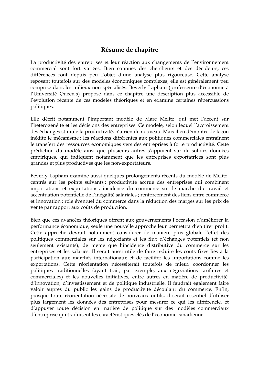# **Résumé de chapitre**

La productivité des entreprises et leur réaction aux changements de l'environnement commercial sont fort variées. Bien connues des chercheurs et des décideurs, ces différences font depuis peu l'objet d'une analyse plus rigoureuse. Cette analyse reposant toutefois sur des modèles économiques complexes, elle est généralement peu comprise dans les milieux non spécialisés. Beverly Lapham (professeure d'économie à l'Université Queen's) propose dans ce chapitre une description plus accessible de l'évolution récente de ces modèles théoriques et en examine certaines répercussions politiques.

Elle décrit notamment l'important modèle de Marc Melitz, qui met l'accent sur l'hétérogénéité et les décisions des entreprises. Ce modèle, selon lequel l'accroissement des échanges stimule la productivité, n'a rien de nouveau. Mais il en démontre de façon inédite le mécanisme : les réactions différentes aux politiques commerciales entraînent le transfert des ressources économiques vers des entreprises à forte productivité. Cette prédiction du modèle ainsi que plusieurs autres s'appuient sur de solides données empiriques, qui indiquent notamment que les entreprises exportatrices sont plus grandes et plus productives que les non-exportateurs.

Beverly Lapham examine aussi quelques prolongements récents du modèle de Melitz, centrés sur les points suivants : productivité accrue des entreprises qui combinent importations et exportations ; incidence du commerce sur le marché du travail et accentuation potentielle de l'inégalité salariales ; renforcement des liens entre commerce et innovation ; rôle éventuel du commerce dans la réduction des marges sur les prix de vente par rapport aux coûts de production.

Bien que ces avancées théoriques offrent aux gouvernements l'occasion d'améliorer la performance économique, seule une nouvelle approche leur permettra d'en tirer profit. Cette approche devrait notamment considérer de manière plus globale l'effet des politiques commerciales sur les négociants et les flux d'échanges potentiels (et non seulement existants), de même que l'incidence distributive du commerce sur les entreprises et les salariés. Il serait aussi utile de faire réduire les coûts fixes liés à la participation aux marchés internationaux et de faciliter les importations comme les exportations. Cette réorientation nécessiterait toutefois de mieux coordonner les politiques traditionnelles (ayant trait, par exemple, aux négociations tarifaires et commerciales) et les nouvelles initiatives, entre autres en matière de productivité, d'innovation, d'investissement et de politique industrielle. Il faudrait également faire valoir auprès du public les gains de productivité découlant du commerce. Enfin, puisque toute réorientation nécessite de nouveaux outils, il serait essentiel d'utiliser plus largement les données des entreprises pour mesurer ce qui les différencie, et d'appuyer toute décision en matière de politique sur des modèles commerciaux d'entreprise qui traduisent les caractéristiques clés de l'économie canadienne.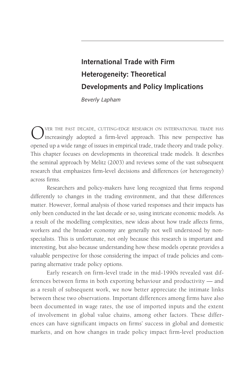# **International Trade with Firm Heterogeneity: Theoretical Developments and Policy Implications**

*Beverly Lapham*

VER THE PAST DECADE, CUTTING-EDGE RESEARCH ON INTERNATIONAL TRADE HAS Increasingly adopted a firm-level approach. This new perspective has opened up a wide range of issues in empirical trade, trade theory and trade policy. This chapter focuses on developments in theoretical trade models. It describes the seminal approach by Melitz (2003) and reviews some of the vast subsequent research that emphasizes firm-level decisions and differences (or heterogeneity) across firms.

Researchers and policy-makers have long recognized that firms respond differently to changes in the trading environment, and that these differences matter. However, formal analysis of those varied responses and their impacts has only been conducted in the last decade or so, using intricate economic models. As a result of the modelling complexities, new ideas about how trade affects firms, workers and the broader economy are generally not well understood by nonspecialists. This is unfortunate, not only because this research is important and interesting, but also because understanding how these models operate provides a valuable perspective for those considering the impact of trade policies and comparing alternative trade policy options.

Early research on firm-level trade in the mid-1990s revealed vast differences between firms in both exporting behaviour and productivity — and as a result of subsequent work, we now better appreciate the intimate links between these two observations. Important differences among firms have also been documented in wage rates, the use of imported inputs and the extent of involvement in global value chains, among other factors. These differences can have significant impacts on firms' success in global and domestic markets, and on how changes in trade policy impact firm-level production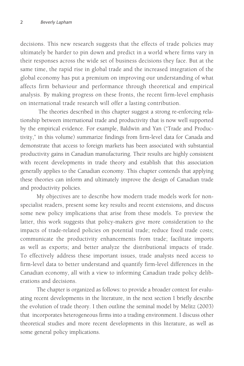decisions. This new research suggests that the effects of trade policies may ultimately be harder to pin down and predict in a world where firms vary in their responses across the wide set of business decisions they face. But at the same time, the rapid rise in global trade and the increased integration of the global economy has put a premium on improving our understanding of what affects firm behaviour and performance through theoretical and empirical analysis. By making progress on these fronts, the recent firm-level emphasis on international trade research will offer a lasting contribution.

 The theories described in this chapter suggest a strong re-enforcing relationship between international trade and productivity that is now well supported by the empirical evidence. For example, Baldwin and Yan ("Trade and Productivity," in this volume) summarize findings from firm-level data for Canada and demonstrate that access to foreign markets has been associated with substantial productivity gains in Canadian manufacturing. Their results are highly consistent with recent developments in trade theory and establish that this association generally applies to the Canadian economy. This chapter contends that applying these theories can inform and ultimately improve the design of Canadian trade and productivity policies.

My objectives are to describe how modern trade models work for nonspecialist readers, present some key results and recent extensions, and discuss some new policy implications that arise from these models. To preview the latter, this work suggests that policy-makers give more consideration to the impacts of trade-related policies on potential trade; reduce fixed trade costs; communicate the productivity enhancements from trade; facilitate imports as well as exports; and better analyze the distributional impacts of trade. To effectively address these important issues, trade analysts need access to firm-level data to better understand and quantify firm-level differences in the Canadian economy, all with a view to informing Canadian trade policy deliberations and decisions.

The chapter is organized as follows: to provide a broader context for evaluating recent developments in the literature, in the next section I briefly describe the evolution of trade theory. I then outline the seminal model by Melitz (2003) that incorporates heterogeneous firms into a trading environment. I discuss other theoretical studies and more recent developments in this literature, as well as some general policy implications.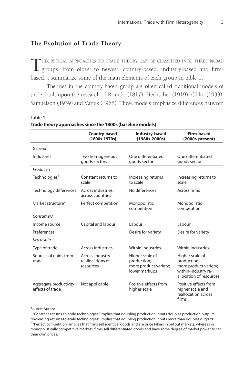### **The Evolution of Trade Theory**

THEORETICAL APPROACHES TO TRADE THEORY CAN BE CLASSIFIED INTO THREE BROAD groups, from oldest to newest: country-based, industry-based and firmbased. I summarize some of the main elements of each group in table 1.

Theories in the country-based group are often called traditional models of trade, built upon the research of Ricardo (1817), Heckscher (1919), Ohlin (1933), Samuelson (1939) and Vanek (1968). These models emphasize differences between

|                                            | <b>Country-based</b><br>(1800s-1970s)            | Industry-based<br>(1980s-2000s)                                          | <b>Firm-based</b><br>(2000s-present)                                                                      |
|--------------------------------------------|--------------------------------------------------|--------------------------------------------------------------------------|-----------------------------------------------------------------------------------------------------------|
| General                                    |                                                  |                                                                          |                                                                                                           |
| Industries                                 | Two homogeneous<br>goods sectors                 | One differentiated<br>goods sector                                       | One differentiated<br>goods sector                                                                        |
| Producers                                  |                                                  |                                                                          |                                                                                                           |
| Technologies <sup>1</sup>                  | Constant returns to<br>scale                     | Increasing returns<br>to scale                                           | Increasing returns to<br>scale                                                                            |
| Technology differences                     | Across industries:<br>across countries           | No differences                                                           | Across firms                                                                                              |
| Market structure <sup>2</sup>              | Perfect competition                              | Monopolistic<br>competition                                              | Monopolistic<br>competition                                                                               |
| Consumers                                  |                                                  |                                                                          |                                                                                                           |
| Income source                              | Capital and labour                               | Labour                                                                   | Labour                                                                                                    |
| Preferences                                |                                                  | Desire for variety                                                       | Desire for variety                                                                                        |
| Key results                                |                                                  |                                                                          |                                                                                                           |
| Type of trade                              | Across industries                                | Within industries                                                        | Within industries                                                                                         |
| Sources of gains from<br>trade             | Across-industry<br>reallocations of<br>resources | Higher scale of<br>production;<br>more product variety;<br>lower markups | Higher scale of<br>production;<br>more product variety;<br>within-industry re-<br>allocation of resources |
| Aggregate productivity<br>effects of trade | Not applicable                                   | Positive effects from<br>higher scale                                    | Positive effects from<br>higher scale and<br>reallocation across<br>firms                                 |

Table 1 **Trade theory approaches since the 1800s (baseline models)**

Source: Author.

<sup>1</sup> "Constant-returns-to-scale technologies" implies that doubling production inputs doubles production outputs.

"Increasing-returns-to-scale technologies" implies that doubling production inputs more than doubles outputs. <sup>2</sup> "Perfect competition" implies that firms sell identical goods and are price takers in output markets, whereas in monopolistically competitive markets, firms sell differentiated goods and have some degree of market power to set their own prices.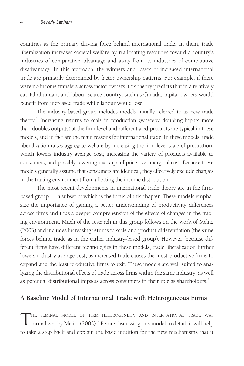countries as the primary driving force behind international trade. In them, trade liberalization increases societal welfare by reallocating resources toward a country's industries of comparative advantage and away from its industries of comparative disadvantage. In this approach, the winners and losers of increased international trade are primarily determined by factor ownership patterns. For example, if there were no income transfers across factor owners, this theory predicts that in a relatively capital-abundant and labour-scarce country, such as Canada, capital owners would benefit from increased trade while labour would lose.

The industry-based group includes models initially referred to as new trade theory.<sup>1</sup> Increasing returns to scale in production (whereby doubling inputs more than doubles outputs) at the firm level and differentiated products are typical in these models, and in fact are the main reasons for international trade. In these models, trade liberalization raises aggregate welfare by increasing the firm-level scale of production, which lowers industry average cost; increasing the variety of products available to consumers; and possibly lowering markups of price over marginal cost. Because these models generally assume that consumers are identical, they effectively exclude changes in the trading environment from affecting the income distribution.

The most recent developments in international trade theory are in the firmbased group — a subset of which is the focus of this chapter. These models emphasize the importance of gaining a better understanding of productivity differences across firms and thus a deeper comprehension of the effects of changes in the trading environment. Much of the research in this group follows on the work of Melitz (2003) and includes increasing returns to scale and product differentiation (the same forces behind trade as in the earlier industry-based group). However, because different firms have different technologies in these models, trade liberalization further lowers industry average cost, as increased trade causes the most productive firms to expand and the least productive firms to exit. These models are well suited to analyzing the distributional effects of trade across firms within the same industry, as well as potential distributional impacts across consumers in their role as shareholders.<sup>2</sup>

### **A Baseline Model of International Trade with Heterogeneous Firms**

THE SEMINAL MODEL OF FIRM HETEROGENEITY AND INTERNATIONAL TRADE WAS formalized by Melitz (2003).<sup>3</sup> Before discussing this model in detail, it will help to take a step back and explain the basic intuition for the new mechanisms that it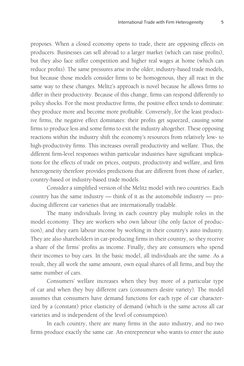proposes. When a closed economy opens to trade, there are opposing effects on producers. Businesses can sell abroad to a larger market (which can raise profits), but they also face stiffer competition and higher real wages at home (which can reduce profits). The same pressures arise in the older, industry-based trade models, but because those models consider firms to be homogenous, they all react in the same way to these changes. Melitz's approach is novel because he allows firms to differ in their productivity. Because of this change, firms can respond differently to policy shocks. For the most productive firms, the positive effect tends to dominate: they produce more and become more profitable. Conversely, for the least productive firms, the negative effect dominates: their profits get squeezed, causing some firms to produce less and some firms to exit the industry altogether. These opposing reactions within the industry shift the economy's resources from relatively low- to high-productivity firms. This increases overall productivity and welfare. Thus, the different firm-level responses within particular industries have significant implications for the effects of trade on prices, outputs, productivity and welfare, and firm heterogeneity therefore provides predictions that are different from those of earlier, country-based or industry-based trade models.

Consider a simplified version of the Melitz model with two countries. Each country has the same industry — think of it as the automobile industry — producing different car varieties that are internationally tradable.

The many individuals living in each country play multiple roles in the model economy. They are workers who own labour (the only factor of production), and they earn labour income by working in their country's auto industry. They are also shareholders in car-producing firms in their country, so they receive a share of the firms' profits as income. Finally, they are consumers who spend their incomes to buy cars. In the basic model, all individuals are the same. As a result, they all work the same amount, own equal shares of all firms, and buy the same number of cars.

Consumers' welfare increases when they buy more of a particular type of car and when they buy different cars (consumers desire variety). The model assumes that consumers have demand functions for each type of car characterized by a (constant) price elasticity of demand (which is the same across all car varieties and is independent of the level of consumption).

In each country, there are many firms in the auto industry, and no two firms produce exactly the same car. An entrepreneur who wants to enter the auto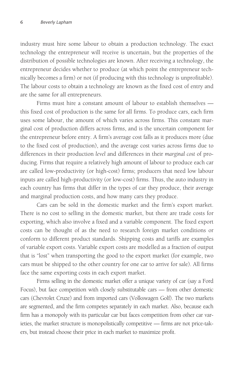industry must hire some labour to obtain a production technology. The exact technology the entrepreneur will receive is uncertain, but the properties of the distribution of possible technologies are known. After receiving a technology, the entrepreneur decides whether to produce (at which point the entrepreneur technically becomes a firm) or not (if producing with this technology is unprofitable). The labour costs to obtain a technology are known as the fixed cost of entry and are the same for all entrepreneurs.

Firms must hire a constant amount of labour to establish themselves this fixed cost of production is the same for all firms. To produce cars, each firm uses some labour, the amount of which varies across firms. This constant marginal cost of production differs across firms, and is the uncertain component for the entrepreneur before entry. A firm's average cost falls as it produces more (due to the fixed cost of production), and the average cost varies across firms due to differences in their production *level* and differences in their *marginal cost* of producing. Firms that require a relatively high amount of labour to produce each car are called low-productivity (or high-cost) firms; producers that need low labour inputs are called high-productivity (or low-cost) firms. Thus, the auto industry in each country has firms that differ in the types of car they produce, their average and marginal production costs, and how many cars they produce.

Cars can be sold in the domestic market and the firm's export market. There is no cost to selling in the domestic market, but there are trade costs for exporting, which also involve a fixed and a variable component. The fixed export costs can be thought of as the need to research foreign market conditions or conform to different product standards. Shipping costs and tariffs are examples of variable export costs. Variable export costs are modelled as a fraction of output that is "lost" when transporting the good to the export market (for example, two cars must be shipped to the other country for one car to arrive for sale). All firms face the same exporting costs in each export market.

Firms selling in the domestic market offer a unique variety of car (say a Ford Focus), but face competition with closely substitutable cars — from other domestic cars (Chevrolet Cruze) and from imported cars (Volkswagen Golf). The two markets are segmented, and the firm competes separately in each market. Also, because each firm has a monopoly with its particular car but faces competition from other car varieties, the market structure is monopolistically competitive — firms are not price-takers, but instead choose their price in each market to maximize profit.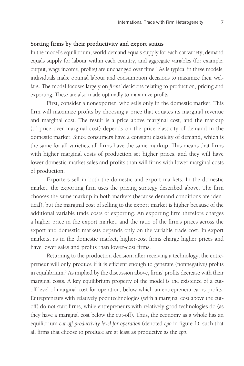#### **Sorting firms by their productivity and export status**

In the model's equilibrium, world demand equals supply for each car variety, demand equals supply for labour within each country, and aggregate variables (for example, output, wage income, profits) are unchanged over time.<sup>4</sup> As is typical in these models, individuals make optimal labour and consumption decisions to maximize their welfare. The model focuses largely on *firms'* decisions relating to production, pricing and exporting. These are also made optimally to maximize profits.

First, consider a nonexporter, who sells only in the domestic market. This firm will maximize profits by choosing a price that equates its marginal revenue and marginal cost. The result is a price above marginal cost, and the markup (of price over marginal cost) depends on the price elasticity of demand in the domestic market. Since consumers have a constant elasticity of demand, which is the same for all varieties, all firms have the same markup. This means that firms with higher marginal costs of production set higher prices, and they will have lower domestic-market sales and profits than will firms with lower marginal costs of production.

Exporters sell in both the domestic and export markets. In the domestic market, the exporting firm uses the pricing strategy described above. The firm chooses the same markup in both markets (because demand conditions are identical), but the marginal cost of selling to the export market is higher because of the additional variable trade costs of exporting. An exporting firm therefore charges a higher price in the export market, and the ratio of the firm's prices across the export and domestic markets depends only on the variable trade cost. In export markets, as in the domestic market, higher-cost firms charge higher prices and have lower sales and profits than lower-cost firms.

Returning to the production decision, after receiving a technology, the entrepreneur will only produce if it is efficient enough to generate (nonnegative) profits in equilibrium.<sup>5</sup> As implied by the discussion above, firms' profits decrease with their marginal costs. A key equilibrium property of the model is the existence of a cutoff level of marginal cost for operation, below which an entrepreneur earns profits. Entrepreneurs with relatively poor technologies (with a marginal cost above the cutoff) do not start firms, while entrepreneurs with relatively good technologies do (as they have a marginal cost below the cut-off). Thus, the economy as a whole has an equilibrium *cut-off productivity level for operation* (denoted *cpo* in figure 1), such that all firms that choose to produce are at least as productive as the *cpo*.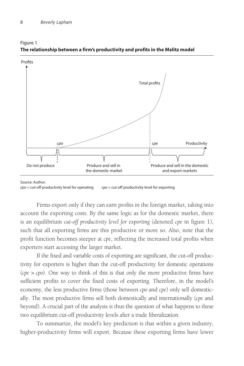

#### Figure 1 **The relationship between a firm's productivity and profits in the Melitz model**

Firms export only if they can earn profits in the foreign market, taking into account the exporting costs. By the same logic as for the domestic market, there is an equilibrium *cut-off productivity level for exporting* (denoted *cpe* in figure 1), such that all exporting firms are this productive or more so. Also, note that the profit function becomes steeper at *cpe*, reflecting the increased total profits when exporters start accessing the larger market.

If the fixed and variable costs of exporting are significant, the cut-off productivity for exporters is higher than the cut-off productivity for domestic operations (*cpe > cpo)*. One way to think of this is that only the more productive firms have sufficient profits to cover the fixed costs of exporting. Therefore, in the model's economy, the less productive firms (those between *cpo* and *cpe*) only sell domestically. The most productive firms sell both domestically and internationally (*cpe* and beyond). A crucial part of the analysis is thus the question of what happens to these two equilibrium cut-off productivity levels after a trade liberalization.

To summarize, the model's key prediction is that within a given industry, higher-productivity firms will export. Because these exporting firms have lower

Source: Author. *cpo* = cut-off productivity level for operating c*pe* = cut-off productivity level for exporting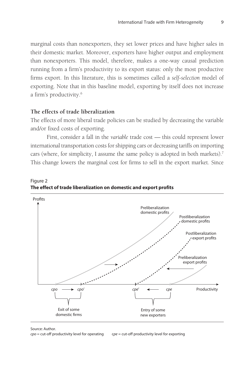marginal costs than nonexporters, they set lower prices and have higher sales in their domestic market. Moreover, exporters have higher output and employment than nonexporters. This model, therefore, makes a one-way causal prediction running from a firm's productivity to its export status: only the most productive firms export. In this literature, this is sometimes called a *self-selection* model of exporting. Note that in this baseline model, exporting by itself does not increase a firm's productivity.6

### **The effects of trade liberalization**

The effects of more liberal trade policies can be studied by decreasing the variable and/or fixed costs of exporting.

First, consider a fall in the *variable* trade cost — this could represent lower international transportation costs for shipping cars or decreasing tariffs on importing cars (where, for simplicity, I assume the same policy is adopted in both markets).7 This change lowers the marginal cost for firms to sell in the export market. Since





#### Source: Author.

*cpo* = cut-off productivity level for operating c*pe* = cut-off productivity level for exporting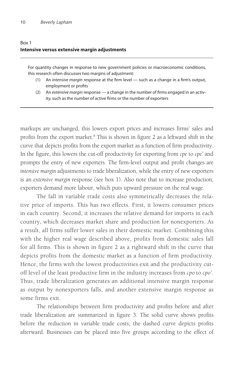### Box 1 **Intensive versus extensive margin adjustments**

For quantity changes in response to new government policies or macroeconomic conditions, this research often discusses two margins of adjustment:

- (1) An *intensive margin* response at the firm level such as a change in a firm's output, employment or profits
- (2) An *extensive margin* response a change in the number of firms engaged in an activity, such as the number of active firms or the number of exporters

markups are unchanged, this lowers export prices and increases firms' sales and profits from the export market.<sup>8</sup> This is shown in figure 2 as a leftward shift in the curve that depicts profits from the export market as a function of firm productivity. In the figure, this lowers the cut-off productivity for exporting from *cpe* to *cpe'* and prompts the entry of new exporters. The firm-level output and profit changes are *intensive margin* adjustments to trade liberalization, while the entry of new exporters is an *extensive margin* response (see box 1). Also note that to increase production, exporters demand more labour, which puts upward pressure on the real wage.

The fall in variable trade costs also symmetrically decreases the relative price of imports. This has two effects. First, it lowers consumer prices in each country. Second, it increases the relative demand for imports in each country, which decreases market share and production for nonexporters. As a result, all firms suffer lower sales in their domestic market. Combining this with the higher real wage described above, profits from domestic sales fall for all firms. This is shown in figure 2 as a rightward shift in the curve that depicts profits from the domestic market as a function of firm productivity. Hence, the firms with the lowest productivities exit and the productivity cutoff level of the least productive firm in the industry increases from *cpo* to *cpo'*. Thus, trade liberalization generates an additional intensive margin response as output by nonexporters falls, and another extensive margin response as some firms exit.

The relationships between firm productivity and profits before and after trade liberalization are summarized in figure 3. The solid curve shows profits before the reduction in variable trade costs; the dashed curve depicts profits afterward. Businesses can be placed into five groups according to the effect of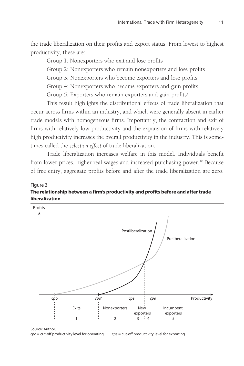the trade liberalization on their profits and export status. From lowest to highest productivity, these are:

Group 1: Nonexporters who exit and lose profits

Group 2: Nonexporters who remain nonexporters and lose profits

Group 3: Nonexporters who become exporters and lose profits

Group 4: Nonexporters who become exporters and gain profits

Group 5: Exporters who remain exporters and gain profits<sup>9</sup>

This result highlights the distributional effects of trade liberalization that occur across firms within an industry, and which were generally absent in earlier trade models with homogeneous firms. Importantly, the contraction and exit of firms with relatively low productivity and the expansion of firms with relatively high productivity increases the overall productivity in the industry. This is sometimes called the *selection effect* of trade liberalization.

Trade liberalization increases welfare in this model. Individuals benefit from lower prices, higher real wages and increased purchasing power.<sup>10</sup> Because of free entry, aggregate profits before and after the trade liberalization are zero.

#### Figure 3 **The relationship between a firm's productivity and profits before and after trade liberalization**



Source: Author. *cpo* = cut-off productivity level for operating c*pe* = cut-off productivity level for exporting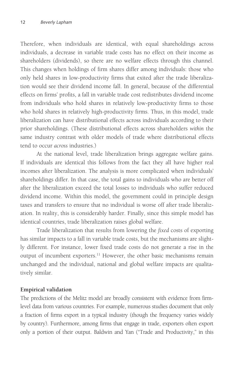Therefore, when individuals are identical, with equal shareholdings across individuals, a decrease in variable trade costs has no effect on their income as shareholders (dividends), so there are no welfare effects through this channel. This changes when holdings of firm shares differ among individuals: those who only held shares in low-productivity firms that exited after the trade liberalization would see their dividend income fall. In general, because of the differential effects on firms' profits, a fall in variable trade cost redistributes dividend income from individuals who hold shares in relatively low-productivity firms to those who hold shares in relatively high-productivity firms. Thus, in this model, trade liberalization can have distributional effects across individuals according to their prior shareholdings. (These distributional effects across shareholders *within* the same industry contrast with older models of trade where distributional effects tend to occur *across* industries.)

At the national level, trade liberalization brings aggregate welfare gains. If individuals are identical this follows from the fact they all have higher real incomes after liberalization. The analysis is more complicated when individuals' shareholdings differ. In that case, the total gains to individuals who are better off after the liberalization exceed the total losses to individuals who suffer reduced dividend income. Within this model, the government could in principle design taxes and transfers to ensure that no individual is worse off after trade liberalization. In reality, this is considerably harder. Finally, since this simple model has identical countries, trade liberalization raises global welfare.

Trade liberalization that results from lowering the *fixed* costs of exporting has similar impacts to a fall in variable trade costs, but the mechanisms are slightly different. For instance, lower fixed trade costs do not generate a rise in the output of incumbent exporters.<sup>11</sup> However, the other basic mechanisms remain unchanged and the individual, national and global welfare impacts are qualitatively similar.

### **Empirical validation**

The predictions of the Melitz model are broadly consistent with evidence from firmlevel data from various countries. For example, numerous studies document that only a fraction of firms export in a typical industry (though the frequency varies widely by country). Furthermore, among firms that engage in trade, exporters often export only a portion of their output. Baldwin and Yan ("Trade and Productivity," in this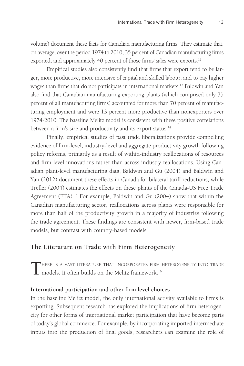volume) document these facts for Canadian manufacturing firms. They estimate that, on average, over the period 1974 to 2010, 35 percent of Canadian manufacturing firms exported, and approximately 40 percent of those firms' sales were exports.<sup>12</sup>

Empirical studies also consistently find that firms that export tend to be larger, more productive, more intensive of capital and skilled labour, and to pay higher wages than firms that do not participate in international markets.13 Baldwin and Yan also find that Canadian manufacturing exporting plants (which comprised only 35 percent of all manufacturing firms) accounted for more than 70 percent of manufacturing employment and were 13 percent more productive than nonexporters over 1974-2010. The baseline Melitz model is consistent with these positive correlations between a firm's size and productivity and its export status.<sup>14</sup>

Finally, empirical studies of past trade liberalizations provide compelling evidence of firm-level, industry-level and aggregate productivity growth following policy reforms, primarily as a result of within-industry reallocations of resources and firm-level innovations rather than across-industry reallocations. Using Canadian plant-level manufacturing data, Baldwin and Gu (2004) and Baldwin and Yan (2012) document these effects in Canada for bilateral tariff reductions, while Trefler (2004) estimates the effects on these plants of the Canada-US Free Trade Agreement (FTA).15 For example, Baldwin and Gu (2004) show that within the Canadian manufacturing sector, reallocations across plants were responsible for more than half of the productivity growth in a majority of industries following the trade agreement. These findings are consistent with newer, firm-based trade models, but contrast with country-based models.

### **The Literature on Trade with Firm Heterogeneity**

There is <sup>a</sup> vast literature that incorporates firm heterogeneity into trade models. It often builds on the Melitz framework.16

#### **International participation and other firm-level choices**

In the baseline Melitz model, the only international activity available to firms is exporting. Subsequent research has explored the implications of firm heterogeneity for other forms of international market participation that have become parts of today's global commerce. For example, by incorporating imported intermediate inputs into the production of final goods, researchers can examine the role of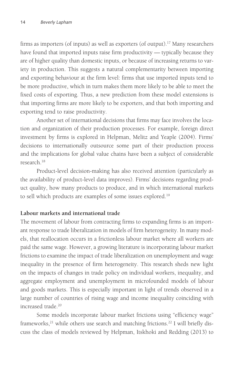firms as importers (of inputs) as well as exporters (of output).17 Many researchers have found that imported inputs raise firm productivity — typically because they are of higher quality than domestic inputs, or because of increasing returns to variety in production. This suggests a natural complementarity between importing and exporting behaviour at the firm level: firms that use imported inputs tend to be more productive, which in turn makes them more likely to be able to meet the fixed costs of exporting. Thus, a new prediction from these model extensions is that importing firms are more likely to be exporters, and that both importing and exporting tend to raise productivity.

Another set of international decisions that firms may face involves the location and organization of their production processes. For example, foreign direct investment by firms is explored in Helpman, Melitz and Yeaple (2004). Firms' decisions to internationally outsource some part of their production process and the implications for global value chains have been a subject of considerable research.18

Product-level decision-making has also received attention (particularly as the availability of product-level data improves). Firms' decisions regarding product quality, how many products to produce, and in which international markets to sell which products are examples of some issues explored.<sup>19</sup>

### **Labour markets and international trade**

The movement of labour from contracting firms to expanding firms is an important response to trade liberalization in models of firm heterogeneity. In many models, that reallocation occurs in a frictionless labour market where all workers are paid the same wage. However, a growing literature is incorporating labour market frictions to examine the impact of trade liberalization on unemployment and wage inequality in the presence of firm heterogeneity. This research sheds new light on the impacts of changes in trade policy on individual workers, inequality, and aggregate employment and unemployment in microfounded models of labour and goods markets. This is especially important in light of trends observed in a large number of countries of rising wage and income inequality coinciding with increased trade.20

Some models incorporate labour market frictions using "efficiency wage" frameworks,<sup>21</sup> while others use search and matching frictions.<sup>22</sup> I will briefly discuss the class of models reviewed by Helpman, Itskhoki and Redding (2013) to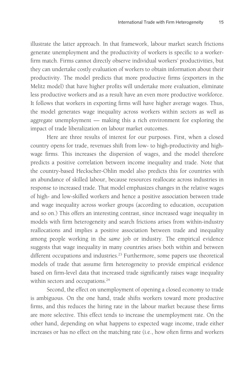illustrate the latter approach. In that framework, labour market search frictions generate unemployment and the productivity of workers is specific to a workerfirm match. Firms cannot directly observe individual workers' productivities, but they can undertake costly evaluation of workers to obtain information about their productivity. The model predicts that more productive firms (exporters in the Melitz model) that have higher profits will undertake more evaluation, eliminate less productive workers and as a result have an even more productive workforce. It follows that workers in exporting firms will have higher average wages. Thus, the model generates wage inequality across workers within sectors as well as aggregate unemployment — making this a rich environment for exploring the impact of trade liberalization on labour market outcomes.

Here are three results of interest for our purposes. First, when a closed country opens for trade, revenues shift from low- to high-productivity and highwage firms. This increases the dispersion of wages, and the model therefore predicts a positive correlation between income inequality and trade. Note that the country-based Heckscher-Ohlin model also predicts this for countries with an abundance of skilled labour, because resources reallocate across industries in response to increased trade. That model emphasizes changes in the relative wages of high- and low-skilled workers and hence a positive association between trade and wage inequality across worker groups (according to education, occupation and so on.) This offers an interesting contrast, since increased wage inequality in models with firm heterogeneity and search frictions arises from within-industry reallocations and implies a positive association between trade and inequality among people working in the *same* job or industry. The empirical evidence suggests that wage inequality in many countries arises both within and between different occupations and industries.<sup>23</sup> Furthermore, some papers use theoretical models of trade that assume firm heterogeneity to provide empirical evidence based on firm-level data that increased trade significantly raises wage inequality within sectors and occupations.<sup>24</sup>

Second, the effect on unemployment of opening a closed economy to trade is ambiguous. On the one hand, trade shifts workers toward more productive firms, and this reduces the hiring rate in the labour market because these firms are more selective. This effect tends to increase the unemployment rate. On the other hand, depending on what happens to expected wage income, trade either increases or has no effect on the matching rate (i.e., how often firms and workers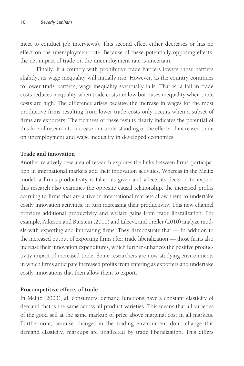meet to conduct job interviews). This second effect either decreases or has no effect on the unemployment rate. Because of these potentially opposing effects, the net impact of trade on the unemployment rate is uncertain.

Finally, if a country with prohibitive trade barriers lowers those barriers slightly, its wage inequality will initially rise. However, as the country continues to lower trade barriers, wage inequality eventually falls. That is, a fall in trade costs reduces inequality when trade costs are low but raises inequality when trade costs are high. The difference arises because the increase in wages for the most productive firms resulting from lower trade costs only occurs when a subset of firms are exporters. The richness of these results clearly indicates the potential of this line of research to increase our understanding of the effects of increased trade on unemployment and wage inequality in developed economies.

### **Trade and innovation**

Another relatively new area of research explores the links between firms' participation in international markets and their innovation activities. Whereas in the Melitz model, a firm's productivity is taken as given and affects its decision to export, this research also examines the opposite causal relationship: the increased profits accruing to firms that are active in international markets allow them to undertake costly innovation activities, in turn increasing their productivity. This new channel provides additional productivity and welfare gains from trade liberalization. For example, Atkeson and Burstein (2010) and Lileeva and Trefler (2010) analyze models with exporting and innovating firms. They demonstrate that — in addition to the increased output of exporting firms after trade liberalization — those firms also increase their innovation expenditures, which further enhances the positive productivity impact of increased trade. Some researchers are now studying environments in which firms anticipate increased profits from entering as exporters and undertake costly innovations that then allow them to export.

### **Procompetitive effects of trade**

In Melitz (2003), all consumers' demand functions have a constant elasticity of demand that is the same across all product varieties. This means that all varieties of the good sell at the same markup of price above marginal cost in all markets. Furthermore, because changes in the trading environment don't change this demand elasticity, markups are unaffected by trade liberalization. This differs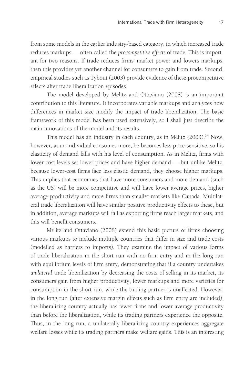from some models in the earlier industry-based category, in which increased trade reduces markups — often called the *procompetitive effects* of trade. This is important for two reasons. If trade reduces firms' market power and lowers markups, then this provides yet another channel for consumers to gain from trade. Second, empirical studies such as Tybout (2003) provide evidence of these procompetitive effects after trade liberalization episodes.

The model developed by Melitz and Ottaviano (2008) is an important contribution to this literature. It incorporates variable markups and analyzes how differences in market size modify the impact of trade liberalization. The basic framework of this model has been used extensively, so I shall just describe the main innovations of the model and its results.

This model has an industry in each country, as in Melitz (2003).<sup>25</sup> Now, however, as an individual consumes more, he becomes less price-sensitive, so his elasticity of demand falls with his level of consumption. As in Melitz, firms with lower cost levels set lower prices and have higher demand — but unlike Melitz, because lower-cost firms face less elastic demand, they choose higher markups. This implies that economies that have more consumers and more demand (such as the US) will be more competitive and will have lower average prices, higher average productivity and more firms than smaller markets like Canada. Multilateral trade liberalization will have similar positive productivity effects to these, but in addition, average markups will fall as exporting firms reach larger markets, and this will benefit consumers.

Melitz and Ottaviano (2008) extend this basic picture of firms choosing various markups to include multiple countries that differ in size and trade costs (modelled as barriers to imports). They examine the impact of various forms of trade liberalization in the short run with no firm entry and in the long run with equilibrium levels of firm entry, demonstrating that if a country undertakes *unilateral* trade liberalization by decreasing the costs of selling in its market, its consumers gain from higher productivity, lower markups and more varieties for consumption in the short run, while the trading partner is unaffected. However, in the long run (after extensive margin effects such as firm entry are included), the liberalizing country actually has fewer firms and lower average productivity than before the liberalization, while its trading partners experience the opposite. Thus, in the long run, a unilaterally liberalizing country experiences aggregate welfare losses while its trading partners make welfare gains. This is an interesting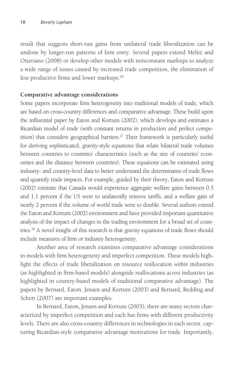result that suggests short-run gains from unilateral trade liberalization can be undone by longer-run patterns of firm entry. Several papers extend Melitz and Ottaviano (2008) or develop other models with nonconstant markups to analyze a wide range of issues caused by increased trade competition, the elimination of less productive firms and lower markups.<sup>26</sup>

#### **Comparative advantage considerations**

Some papers incorporate firm heterogeneity into traditional models of trade, which are based on cross-country differences and comparative advantage. These build upon the influential paper by Eaton and Kortum (2002), which develops and estimates a Ricardian model of trade (with constant returns in production and perfect competition) that considers geographical barriers.<sup>27</sup> Their framework is particularly useful for deriving sophisticated, gravity-style equations that relate bilateral trade volumes between countries to countries' characteristics (such as the size of countries' economies and the distance between countries). These equations can be estimated using industry- and country-level data to better understand the determinants of trade flows and quantify trade impacts. For example, guided by their theory, Eaton and Kortum (2002) estimate that Canada would experience aggregate welfare gains between 0.5 and 1.1 percent if the US were to unilaterally remove tariffs, and a welfare gain of nearly 2 percent if the volume of world trade were to double. Several authors extend the Eaton and Kortum (2002) environment and have provided important quantitative analysis of the impact of changes in the trading environment for a broad set of countries.28 A novel insight of this research is that gravity equations of trade flows should include measures of firm or industry heterogeneity.

Another area of research examines comparative advantage considerations in models with firm heterogeneity and imperfect competition. These models highlight the effects of trade liberalization on resource reallocation *within* industries (as highlighted in firm-based models) alongside reallocations *across* industries (as highlighted in country-based models of traditional comparative advantage). The papers by Bernard, Eaton, Jensen and Kortum (2003) and Bernard, Redding and Schott (2007) are important examples.

In Bernard, Eaton, Jensen and Kortum (2003), there are many sectors characterized by imperfect competition and each has firms with different productivity levels. There are also cross-country differences in technologies in each sector, capturing Ricardian-style comparative advantage motivations for trade. Importantly,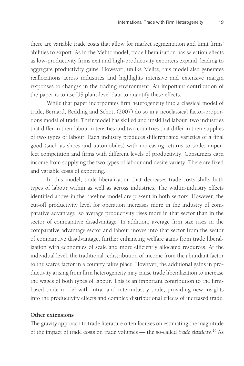there are variable trade costs that allow for market segmentation and limit firms' abilities to export. As in the Melitz model, trade liberalization has selection effects as low-productivity firms exit and high-productivity exporters expand, leading to aggregate productivity gains. However, unlike Melitz, this model also generates reallocations across industries and highlights intensive and extensive margin responses to changes in the trading environment. An important contribution of the paper is to use US plant-level data to quantify these effects.

While that paper incorporates firm heterogeneity into a classical model of trade, Bernard, Redding and Schott (2007) do so in a neoclassical factor-proportions model of trade. Their model has skilled and unskilled labour, two industries that differ in their labour intensities and two countries that differ in their supplies of two types of labour. Each industry produces differentiated varieties of a final good (such as shoes and automobiles) with increasing returns to scale, imperfect competition and firms with different levels of productivity. Consumers earn income from supplying the two types of labour and desire variety. There are fixed and variable costs of exporting.

In this model, trade liberalization that decreases trade costs shifts both types of labour within as well as across industries. The within-industry effects identified above in the baseline model are present in both sectors. However, the cut-off productivity level for operation increases more in the industry of comparative advantage, so average productivity rises more in that sector than in the sector of comparative disadvantage. In addition, average firm size rises in the comparative advantage sector and labour moves into that sector from the sector of comparative disadvantage, further enhancing welfare gains from trade liberalization with economies of scale and more efficiently allocated resources. At the individual level, the traditional redistribution of income from the abundant factor to the scarce factor in a country takes place. However, the additional gains in productivity arising from firm heterogeneity may cause trade liberalization to increase the wages of both types of labour. This is an important contribution to the firmbased trade model with intra- and interindustry trade, providing new insights into the productivity effects and complex distributional effects of increased trade.

#### **Other extensions**

The gravity approach to trade literature often focuses on estimating the magnitude of the impact of trade costs on trade volumes — the so-called *trade elasticity*. 29 As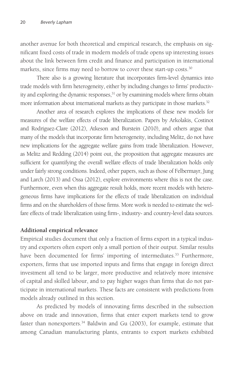another avenue for both theoretical and empirical research, the emphasis on significant fixed costs of trade in modern models of trade opens up interesting issues about the link between firm credit and finance and participation in international markets, since firms may need to borrow to cover these start-up costs.<sup>30</sup>

There also is a growing literature that incorporates firm-level dynamics into trade models with firm heterogeneity, either by including changes to firms' productivity and exploring the dynamic responses,<sup>31</sup> or by examining models where firms obtain more information about international markets as they participate in those markets.<sup>32</sup>

Another area of research explores the implications of these new models for measures of the welfare effects of trade liberalization. Papers by Arkolakis, Costinot and Rodríguez-Clare (2012), Atkeson and Burstein (2010), and others argue that many of the models that incorporate firm heterogeneity, including Melitz, do not have new implications for the aggregate welfare gains from trade liberalization. However, as Melitz and Redding (2014) point out, the proposition that aggregate measures are sufficient for quantifying the overall welfare effects of trade liberalization holds only under fairly strong conditions. Indeed, other papers, such as those of Felbermayr, Jung and Larch (2013) and Ossa (2012), explore environments where this is not the case. Furthermore, even when this aggregate result holds, more recent models with heterogeneous firms have implications for the effects of trade liberalization on individual firms and on the shareholders of those firms. More work is needed to estimate the welfare effects of trade liberalization using firm-, industry- and country-level data sources.

#### **Additional empirical relevance**

Empirical studies document that only a fraction of firms export in a typical industry and exporters often export only a small portion of their output. Similar results have been documented for firms' importing of intermediates.<sup>33</sup> Furthermore, exporters, firms that use imported inputs and firms that engage in foreign direct investment all tend to be larger, more productive and relatively more intensive of capital and skilled labour, and to pay higher wages than firms that do not participate in international markets. These facts are consistent with predictions from models already outlined in this section.

As predicted by models of innovating firms described in the subsection above on trade and innovation, firms that enter export markets tend to grow faster than nonexporters.<sup>34</sup> Baldwin and Gu (2003), for example, estimate that among Canadian manufacturing plants, entrants to export markets exhibited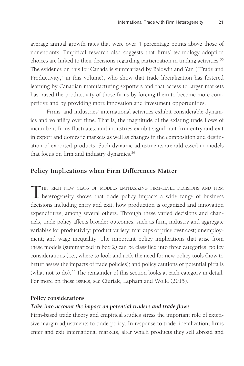average annual growth rates that were over 4 percentage points above those of nonentrants. Empirical research also suggests that firms' technology adoption choices are linked to their decisions regarding participation in trading activities.<sup>35</sup> The evidence on this for Canada is summarized by Baldwin and Yan ("Trade and Productivity," in this volume), who show that trade liberalization has fostered learning by Canadian manufacturing exporters and that access to larger markets has raised the productivity of those firms by forcing them to become more competitive and by providing more innovation and investment opportunities.

Firms' and industries' international activities exhibit considerable dynamics and volatility over time. That is, the magnitude of the existing trade flows of incumbent firms fluctuates, and industries exhibit significant firm entry and exit in export and domestic markets as well as changes in the composition and destination of exported products. Such dynamic adjustments are addressed in models that focus on firm and industry dynamics.<sup>36</sup>

### **Policy Implications when Firm Differences Matter**

This rich new class of models emphasizing firm-level decisions and firm heterogeneity shows that trade policy impacts a wide range of business decisions including entry and exit, how production is organized and innovation expenditures, among several others. Through these varied decisions and channels, trade policy affects broader outcomes, such as firm, industry and aggregate variables for productivity; product variety; markups of price over cost; unemployment; and wage inequality. The important policy implications that arise from these models (summarized in box 2) can be classified into three categories: policy considerations (i.e., where to look and act); the need for new policy tools (how to better assess the impacts of trade policies); and policy cautions or potential pitfalls (what not to do).37 The remainder of this section looks at each category in detail. For more on these issues, see Ciuriak, Lapham and Wolfe (2015).

#### **Policy considerations**

#### *Take into account the impact on potential traders and trade flows*

Firm-based trade theory and empirical studies stress the important role of extensive margin adjustments to trade policy. In response to trade liberalization, firms enter and exit international markets, alter which products they sell abroad and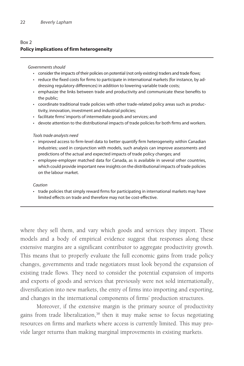### Box 2 **Policy implications of firm heterogeneity**

#### *Governments should*

- consider the impacts of their policies on potential (not only existing) traders and trade flows;
- • reduce the fixed costs for firms to participate in international markets (for instance, by addressing regulatory differences) in addition to lowering variable trade costs;
- • emphasize the links between trade and productivity and communicate these benefits to the public;
- coordinate traditional trade policies with other trade-related policy areas such as productivity, innovation, investment and industrial policies;
- • facilitate firms' imports of intermediate goods and services; and
- • devote attention to the distributional impacts of trade policies for both firms and workers.

#### *Tools trade analysts need*

- • improved access to firm-level data to better quantify firm heterogeneity within Canadian industries; used in conjunction with models, such analysis can improve assessments and predictions of the actual and expected impacts of trade policy changes; and
- • employee-employer matched data for Canada, as is available in several other countries, which could provide important new insights on the distributional impacts of trade policies on the labour market.

#### *Caution*

• trade policies that simply reward firms for participating in international markets may have limited effects on trade and therefore may not be cost-effective.

where they sell them, and vary which goods and services they import. These models and a body of empirical evidence suggest that responses along these extensive margins are a significant contributor to aggregate productivity growth. This means that to properly evaluate the full economic gains from trade policy changes, governments and trade negotiators must look beyond the expansion of existing trade flows. They need to consider the potential expansion of imports and exports of goods and services that previously were not sold internationally, diversification into new markets, the entry of firms into importing and exporting, and changes in the international components of firms' production structures.

Moreover, if the extensive margin is the primary source of productivity gains from trade liberalization, $38$  then it may make sense to focus negotiating resources on firms and markets where access is currently limited. This may provide larger returns than making marginal improvements in existing markets.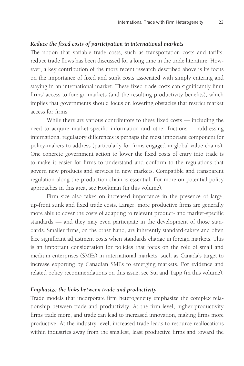#### *Reduce the fixed costs of participation in international markets*

The notion that variable trade costs, such as transportation costs and tariffs, reduce trade flows has been discussed for a long time in the trade literature. However, a key contribution of the more recent research described above is its focus on the importance of fixed and sunk costs associated with simply entering and staying in an international market. These fixed trade costs can significantly limit firms' access to foreign markets (and the resulting productivity benefits), which implies that governments should focus on lowering obstacles that restrict market access for firms.

While there are various contributors to these fixed costs — including the need to acquire market-specific information and other frictions — addressing international regulatory differences is perhaps the most important component for policy-makers to address (particularly for firms engaged in global value chains). One concrete government action to lower the fixed costs of entry into trade is to make it easier for firms to understand and conform to the regulations that govern new products and services in new markets. Compatible and transparent regulation along the production chain is essential. For more on potential policy approaches in this area, see Hoekman (in this volume).

Firm size also takes on increased importance in the presence of large, up-front sunk and fixed trade costs. Larger, more productive firms are generally more able to cover the costs of adapting to relevant product- and market-specific standards — and they may even participate in the development of those standards. Smaller firms, on the other hand, are inherently standard-takers and often face significant adjustment costs when standards change in foreign markets. This is an important consideration for policies that focus on the role of small and medium enterprises (SMEs) in international markets, such as Canada's target to increase exporting by Canadian SMEs to emerging markets. For evidence and related policy recommendations on this issue, see Sui and Tapp (in this volume).

#### *Emphasize the links between trade and productivity*

Trade models that incorporate firm heterogeneity emphasize the complex relationship between trade and productivity. At the firm level, higher-productivity firms trade more, and trade can lead to increased innovation, making firms more productive. At the industry level, increased trade leads to resource reallocations within industries away from the smallest, least productive firms and toward the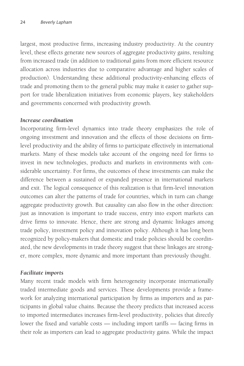largest, most productive firms, increasing industry productivity. At the country level, these effects generate new sources of aggregate productivity gains, resulting from increased trade (in addition to traditional gains from more efficient resource allocation across industries due to comparative advantage and higher scales of production). Understanding these additional productivity-enhancing effects of trade and promoting them to the general public may make it easier to gather support for trade liberalization initiatives from economic players, key stakeholders and governments concerned with productivity growth.

### *Increase coordination*

Incorporating firm-level dynamics into trade theory emphasizes the role of ongoing investment and innovation and the effects of those decisions on firmlevel productivity and the ability of firms to participate effectively in international markets. Many of these models take account of the ongoing need for firms to invest in new technologies, products and markets in environments with considerable uncertainty. For firms, the outcomes of these investments can make the difference between a sustained or expanded presence in international markets and exit. The logical consequence of this realization is that firm-level innovation outcomes can alter the patterns of trade for countries, which in turn can change aggregate productivity growth. But causality can also flow in the other direction: just as innovation is important to trade success, entry into export markets can drive firms to innovate. Hence, there are strong and dynamic linkages among trade policy, investment policy and innovation policy. Although it has long been recognized by policy-makers that domestic and trade policies should be coordinated, the new developments in trade theory suggest that these linkages are stronger, more complex, more dynamic and more important than previously thought.

#### *Facilitate imports*

Many recent trade models with firm heterogeneity incorporate internationally traded intermediate goods and services. These developments provide a framework for analyzing international participation by firms as importers and as participants in global value chains. Because the theory predicts that increased access to imported intermediates increases firm-level productivity, policies that directly lower the fixed and variable costs — including import tariffs — facing firms in their role as importers can lead to aggregate productivity gains. While the impact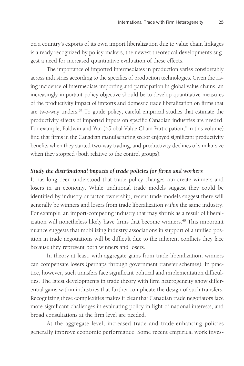on a country's exports of its own import liberalization due to value chain linkages is already recognized by policy-makers, the newest theoretical developments suggest a need for increased quantitative evaluation of these effects.

The importance of imported intermediates in production varies considerably across industries according to the specifics of production technologies. Given the rising incidence of intermediate importing and participation in global value chains, an increasingly important policy objective should be to develop quantitative measures of the productivity impact of imports and domestic trade liberalization on firms that are two-way traders.39 To guide policy, careful empirical studies that estimate the productivity effects of imported inputs on specific Canadian industries are needed. For example, Baldwin and Yan ("Global Value Chain Participation," in this volume) find that firms in the Canadian manufacturing sector enjoyed significant productivity benefits when they started two-way trading, and productivity declines of similar size when they stopped (both relative to the control groups).

### *Study the distributional impacts of trade policies for firms and workers*

It has long been understood that trade policy changes can create winners and losers in an economy. While traditional trade models suggest they could be identified by industry or factor ownership, recent trade models suggest there will generally be winners and losers from trade liberalization *within* the same industry. For example, an import-competing industry that may shrink as a result of liberalization will nonetheless likely have firms that become winners.<sup>40</sup> This important nuance suggests that mobilizing industry associations in support of a unified position in trade negotiations will be difficult due to the inherent conflicts they face because they represent both winners and losers.

In theory at least, with aggregate gains from trade liberalization, winners can compensate losers (perhaps through government transfer schemes). In practice, however, such transfers face significant political and implementation difficulties. The latest developments in trade theory with firm heterogeneity show differential gains within industries that further complicate the design of such transfers. Recognizing these complexities makes it clear that Canadian trade negotiators face more significant challenges in evaluating policy in light of national interests, and broad consultations at the firm level are needed.

At the aggregate level, increased trade and trade-enhancing policies generally improve economic performance. Some recent empirical work inves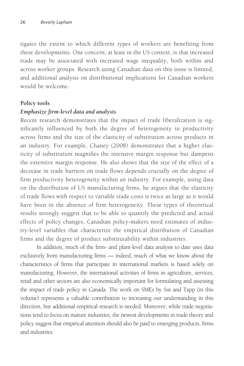tigates the extent to which different types of workers are benefiting from these developments. One concern, at least in the US context, is that increased trade may be associated with increased wage inequality, both within and across worker groups. Research using Canadian data on this issue is limited, and additional analysis on distributional implications for Canadian workers would be welcome.

#### **Policy tools**

#### *Emphasize firm-level data and analysis*

Recent research demonstrates that the impact of trade liberalization is significantly influenced by both the degree of heterogeneity in productivity across firms and the size of the elasticity of substitution across products in an industry. For example, Chaney (2008) demonstrates that a higher elasticity of substitution magnifies the intensive margin response but dampens the extensive margin response. He also shows that the size of the effect of a decrease in trade barriers on trade flows depends crucially on the degree of firm productivity heterogeneity within an industry. For example, using data on the distribution of US manufacturing firms, he argues that the elasticity of trade flows with respect to variable trade costs is twice as large as it would have been in the absence of firm heterogeneity. These types of theoretical results strongly suggest that to be able to quantify the predicted and actual effects of policy changes, Canadian policy-makers need estimates of industry-level variables that characterize the empirical distribution of Canadian firms and the degree of product substitutability within industries.

In addition, much of the firm- and plant-level data analysis to date uses data exclusively from manufacturing firms — indeed, much of what we know about the characteristics of firms that participate in international markets is based solely on manufacturing. However, the international activities of firms in agriculture, services, retail and other sectors are also economically important for formulating and assessing the impact of trade policy in Canada. The work on SMEs by Sui and Tapp (in this volume) represents a valuable contribution to increasing our understanding in this direction, but additional empirical research is needed. Moreover, while trade negotiations tend to focus on mature industries, the newest developments in trade theory and policy suggest that empirical attention should also be paid to emerging products, firms and industries.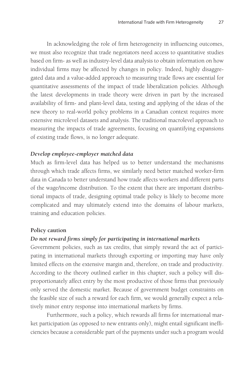In acknowledging the role of firm heterogeneity in influencing outcomes, we must also recognize that trade negotiators need access to quantitative studies based on firm- as well as industry-level data analysis to obtain information on how individual firms may be affected by changes in policy. Indeed, highly disaggregated data and a value-added approach to measuring trade flows are essential for quantitative assessments of the impact of trade liberalization policies. Although the latest developments in trade theory were driven in part by the increased availability of firm- and plant-level data, testing and applying of the ideas of the new theory to real-world policy problems in a Canadian context requires more extensive microlevel datasets and analysis. The traditional macrolevel approach to measuring the impacts of trade agreements, focusing on quantifying expansions of existing trade flows, is no longer adequate.

#### *Develop employee-employer matched data*

Much as firm-level data has helped us to better understand the mechanisms through which trade affects firms, we similarly need better matched worker-firm data in Canada to better understand how trade affects workers and different parts of the wage/income distribution. To the extent that there are important distributional impacts of trade, designing optimal trade policy is likely to become more complicated and may ultimately extend into the domains of labour markets, training and education policies.

#### **Policy caution**

#### *Do not reward firms simply for participating in international markets*

Government policies, such as tax credits, that simply reward the act of participating in international markets through exporting or importing may have only limited effects on the extensive margin and, therefore, on trade and productivity. According to the theory outlined earlier in this chapter, such a policy will disproportionately affect entry by the most productive of those firms that previously only served the domestic market. Because of government budget constraints on the feasible size of such a reward for each firm, we would generally expect a relatively minor entry response into international markets by firms.

Furthermore, such a policy, which rewards all firms for international market participation (as opposed to new entrants only), might entail significant inefficiencies because a considerable part of the payments under such a program would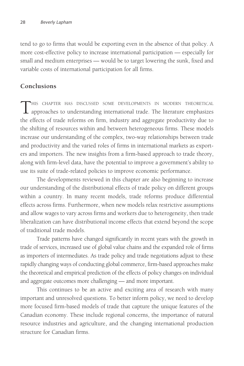tend to go to firms that would be exporting even in the absence of that policy. A more cost-effective policy to increase international participation — especially for small and medium enterprises — would be to target lowering the sunk, fixed and variable costs of international participation for all firms.

### **Conclusions**

This chapter has discussed some developments in modern theoretical approaches to understanding international trade. The literature emphasizes the effects of trade reforms on firm, industry and aggregate productivity due to the shifting of resources within and between heterogeneous firms. These models increase our understanding of the complex, two-way relationships between trade and productivity and the varied roles of firms in international markets as exporters and importers. The new insights from a firm-based approach to trade theory, along with firm-level data, have the potential to improve a government's ability to use its suite of trade-related policies to improve economic performance.

The developments reviewed in this chapter are also beginning to increase our understanding of the distributional effects of trade policy on different groups within a country. In many recent models, trade reforms produce differential effects across firms. Furthermore, when new models relax restrictive assumptions and allow wages to vary across firms and workers due to heterogeneity, then trade liberalization can have distributional income effects that extend beyond the scope of traditional trade models.

Trade patterns have changed significantly in recent years with the growth in trade of services, increased use of global value chains and the expanded role of firms as importers of intermediates. As trade policy and trade negotiations adjust to these rapidly changing ways of conducting global commerce, firm-based approaches make the theoretical and empirical prediction of the effects of policy changes on individual and aggregate outcomes more challenging — and more important.

This continues to be an active and exciting area of research with many important and unresolved questions. To better inform policy, we need to develop more focused firm-based models of trade that capture the unique features of the Canadian economy. These include regional concerns, the importance of natural resource industries and agriculture, and the changing international production structure for Canadian firms.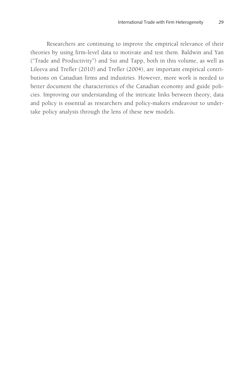Researchers are continuing to improve the empirical relevance of their theories by using firm-level data to motivate and test them. Baldwin and Yan ("Trade and Productivity") and Sui and Tapp, both in this volume, as well as Lileeva and Trefler (2010) and Trefler (2004), are important empirical contributions on Canadian firms and industries. However, more work is needed to better document the characteristics of the Canadian economy and guide policies. Improving our understanding of the intricate links between theory, data and policy is essential as researchers and policy-makers endeavour to undertake policy analysis through the lens of these new models.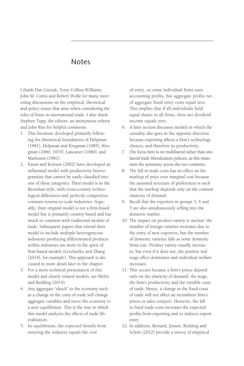### Notes

I thank Dan Ciuriak, Terry Collins-Williams, John M. Curtis and Robert Wolfe for many interesting discussions on the empirical, theoretical and policy issues that arise when considering the roles of firms in international trade. I also thank Stephen Tapp, the editors, an anonymous referee and John Ries for helpful comments.

- 1. This literature developed primarily following the theoretical foundations of Helpman (1981), Helpman and Krugman (1985), Krugman (1980, 1979), Lancaster (1980), and Markusen (1981).
- 2. Eaton and Kortum (2002) have developed an influential model with productivity heterogeneities that cannot be easily classified into one of these categories. Their model is in the Ricardian style, with cross-country technological differences and perfectly competitive, constant-returns-to-scale industries. Arguably, their original model is not a firm-based model but is primarily country-based and has much in common with traditional models of trade. Subsequent papers that extend their model to include multiple heterogeneous industries producing differentiated products within industries are more in the spirit of firm-based models (Levchenko and Zhang [2014], for example). This approach is discussed in more detail later in the chapter.
- 3. For a more technical presentation of this model and closely related models, see Melitz and Redding (2014).
- 4. Any aggregate "shock" to the economy such as a change in the costs of trade will change aggregate variables and move the economy to a new equilibrium. This is the way in which this model analyzes the effects of trade liberalization.
- 5. In equilibrium, the expected benefit from entering the industry equals the cost

of entry, so some individual firms earn accounting profits, but aggregate profits net of aggregate fixed entry costs equal zero. This implies that if all individuals hold equal shares in all firms, their net dividend income equals zero.

- 6. A later section discusses models in which the causality also goes in the opposite direction because exporting affects a firm's technology choices, and therefore its productivity.
- 7. The focus here is on multilateral rather than unilateral trade liberalization policies, as this maintains the symmetry across the two countries.
- 8. The fall in trade costs has no effect on the markup of price over marginal cost because the assumed structure of preferences is such that the markup depends only on the *constant* elasticity of demand.
- 9. Recall that the exporters in groups 3, 4 and 5 are also simultaneously selling into the domestic market.
- 10. The impact on product variety is unclear: the number of foreign varieties increases due to the entry of new exporters, but the number of domestic varieties falls as some domestic firms exit. Product variety usually increases, but even if it does not, the positive real wage effect dominates and individual welfare increases.
- 11. This occurs because a firm's prices depend only on the elasticity of demand, the wage, the firm's productivity and the variable costs of trade. Hence, a change in the fixed costs of trade will not affect an incumbent firm's prices or sales (output). However, the fall in fixed trade costs increases the expected profits from exporting and so induces export entry.
- 12. In addition, Bernard, Jensen, Redding and Schott (2012) provide a survey of empirical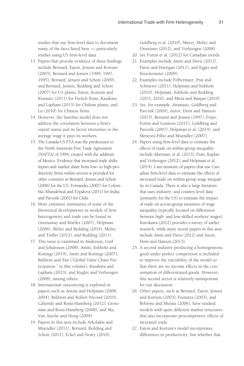studies that use firm-level data to document many of the facts listed here — particularly studies using US firm-level data.

- 13. Papers that provide evidence of these findings include Bernard, Eaton, Jensen and Kortum (2003), Bernard and Jensen (1999, 1997, 1995), Bernard, Jensen and Schott (2009), and Bernard, Jensen, Redding and Schott (2007) for US plants; Eaton, Kortum and Kramarz (2011) for French firms; Kasahara and Lapham (2013) for Chilean plants; and Lu (2010) for Chinese firms.
- 14. However, the baseline model does not address the correlation between a firm's export status and its factor intensities or the average wage it pays its workers.
- 15. The Canada-US FTA was the predecessor to the North American Free Trade Agreement (NAFTA) of 1994, created with the addition of Mexico. Evidence that increased trade shifts inputs and market share from low- to high-productivity firms within sectors is provided for other countries in Bernard, Jensen and Schott (2006) for the US; Fernandes (2007) for Colombia; Khandelwal and Topalova (2011) for India; and Pavcnik (2002) for Chile.
- 16. More extensive summaries of some of the theoretical developments in models of firm heterogeneity and trade can be found in Greenaway and Kneller (2007), Helpman (2006), Melitz and Redding (2014), Melitz and Trefler (2012), and Redding (2011).
- 17. This issue is examined in Anderson, Lööf and Johansson (2008), Amiti, Itskhoki and Konings (2014), Amiti and Konings (2007), Baldwin and Yan ("Global Value Chain Participation," in this volume), Kasahara and Lapham (2013), and Kugler and Verhoogen (2008), among others.
- 18. International outsourcing is explored in papers such as Antràs and Helpman (2008, 2004), Baldwin and Robert-Nicoud (2010), Caliendo and Rossi-Hansberg (2012), Grossman and Rossi-Hansberg (2008), and Ma, Van Assche and Hong (2009).
- 19. Papers in this area include Arkolakis and Muendler (2011), Bernard, Redding and Schott (2011), Eckel and Neary (2010),

Goldberg et al. (2010), Mayer, Melitz and Ottaviano (2012), and Verhoogen (2008).

- 20. See Fortin et al. (2012) for Canadian trends.
- 21. Examples include Amiti and Davis (2012), Davis and Harrigan (2011), and Egger and Kreickemeier (2009).
- 22. Examples include Felbermayr, Prat and Schmerer (2011), Helpman and Itskhoki (2010), Helpman, Itskhoki and Redding (2013, 2010), and Mitra and Ranjan (2010).
- 23. See, for example, Attanasio, Goldberg and Pavcnik (2004), Autor, Dorn and Hanson (2013), Bernard and Jensen (1997), Firpo, Fortin and Lemieux (2011), Goldberg and Pavcnik (2007), Helpman et al. (2014), and Menezes-Filho and Muendler (2007).
- 24. Papers using firm-level data to estimate the effects of trade on within-group inequality include Akerman, et al. (2013), Fraís, Kaplan and Verhoogen (2012), and Helpman et al. (2014). I am unaware of papers that use Canadian firm-level data to estimate the effects of increased trade on within-group wage inequality in Canada. There is also a large literature that uses industry- and country-level data (primarily for the US) to estimate the impact of trade on across-group measures of wage inequality (typically focused on differences between high- and low-skilled workers' wages). Kurokawa (2012) provides a survey of earlier research, while more recent papers in this area include Amiti and Davis (2012) and Autor, Dorn and Hanson (2013).
- 25. A second industry producing a homogeneous good under perfect competition is included to improve the tractability of the model so that there are no income effects in the consumption of differentiated goods. However, this second sector is relatively unimportant for our discussion.
- 26. Other papers, such as Bernard, Eaton, Jensen and Kortum (2003), Feenstra (2003), and Behrens and Murata (2006), have studied models with quite different market structures that also incorporate procompetitive effects of increased trade.
- 27. Eaton and Kortum's model incorporates differences in productivity, but whether that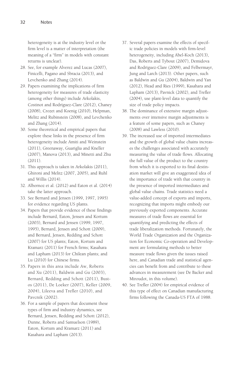heterogeneity is at the industry level or the firm level is a matter of interpretation (the meaning of a "firm" in models with constant returns is unclear).

- 28. See, for example Alverez and Lucas (2007), Finicelli, Pagano and Sbracia (2013), and Levchenko and Zhang (2014).
- 29. Papers examining the implications of firm heterogeneity for measures of trade elasticity (among other things) include Arkolakis, Costinot and Rodríguez-Clare (2012), Chaney (2008), Crozet and Koenig (2010), Helpman, Melitz and Rubinstein (2008), and Levchenko and Zhang (2014).
- 30. Some theoretical and empirical papers that explore these links in the presence of firm heterogeneity include Amiti and Weinstein (2011), Greenaway, Guariglia and Kneller (2007), Manova (2013), and Minetti and Zhu (2011).
- 31. This approach is taken in Arkolakis (2011), Ghironi and Melitz (2007, 2005), and Ruhl and Willis (2014).
- 32. Albornoz et al. (2012) and Eaton et al. (2014) take the latter approach.
- 33. See Bernard and Jensen (1999, 1997, 1995) for evidence regarding US plants.
- 34. Papers that provide evidence of these findings include Bernard, Eaton, Jensen and Kortum (2003), Bernard and Jensen (1999, 1997, 1995), Bernard, Jensen and Schott (2009), and Bernard, Jensen, Redding and Schott (2007) for US plants; Eaton, Kortum and Kramarz (2011) for French firms; Kasahara and Lapham (2013) for Chilean plants; and Lu (2010) for Chinese firms.
- 35. Papers in this area include Aw, Roberts and Xu (2011), Baldwin and Gu (2003), Bernard, Redding and Schott (2011), Bustos (2011), De Loeker (2007), Keller (2009, 2004), Lileeva and Trefler (2010), and Pavcnik (2002).
- 36. For a sample of papers that document these types of firm and industry dynamics, see Bernard, Jensen, Redding and Schott (2012), Dunne, Roberts and Samuelson (1989), Eaton, Kortum and Kramarz (2011) and Kasahara and Lapham (2013).
- 37. Several papers examine the effects of specific trade policies in models with firm-level heterogeneity, including Abel-Koch (2013), Das, Roberts and Tybout (2007), Demidova and Rodríguez-Clare (2009), and Felbermayr, Jung and Larch (2013). Other papers, such as Baldwin and Gu (2004), Baldwin and Yan (2012), Head and Ries (1999), Kasahara and Lapham (2013), Pavnick (2002), and Trefler (2004), use plant-level data to quantify the size of trade policy impacts.
- 38. The dominance of extensive margin adjustments over intensive margin adjustments is a feature of some papers, such as Chaney (2008) and Lawless (2010).
- 39. The increased use of imported intermediates and the growth of global value chains increases the challenges associated with accurately measuring the value of trade flows. Allocating the full value of the product to the country from which it is exported to its final destination market will give an exaggerated idea of the importance of trade with that country in the presence of imported intermediates and global value chains. Trade statistics need a value-added concept of exports and imports, recognizing that imports might embody our previously exported components. Accurate measures of trade flows are essential for quantifying and predicting the effects of trade liberalization methods. Fortunately, the World Trade Organization and the Organization for Economic Co-operation and Development are formulating methods to better measure trade flows given the issues raised here, and Canadian trade and statistical agencies can benefit from and contribute to these advances in measurement (see De Backer and Miroudot, in this volume).
- 40. See Trefler (2004) for empirical evidence of this type of effect on Canadian manufacturing firms following the Canada-US FTA of 1988.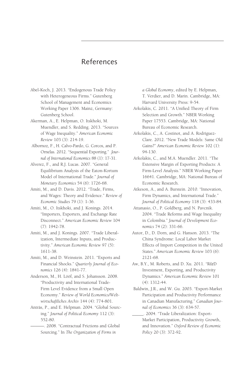## References

- Abel-Koch, J. 2013. "Endogenous Trade Policy with Heterogeneous Firms." Gutenberg School of Management and Economics Working Paper 1306. Mainz, Germany: Gutenberg School.
- Akerman, A., E. Helpman, O. Itskhoki, M. Muendler, and S. Redding. 2013. "Sources of Wage Inequality." *American Economic Review* 103 (3): 214-19.
- Albornoz, F., H. Calvo-Pardo, G. Corcos, and P. Ornelas. 2012. "Sequential Exporting." *Journal of International Economics* 88 (1): 17-31.
- Alverez, F., and R.J. Lucas. 2007. "General Equilibrium Analysis of the Eaton-Kortum Model of International Trade." *Journal of Monetary Economics* 54 (6): 1726-68.
- Amiti, M., and D. Davis. 2012. "Trade, Firms, and Wages: Theory and Evidence." *Review of Economic Studies* 79 (1): 1-36.
- Amiti, M., O. Itskhoki, and J. Konings. 2014. "Importers, Exporters, and Exchange Rate Disconnect." *American Economic Review* 104 (7): 1942-78.
- Amiti, M., and J. Konings. 2007. "Trade Liberalization, Intermediate Inputs, and Productivity." *American Economic Review* 97 (5): 1611-38.
- Amiti, M., and D. Weinstein. 2011. "Exports and Financial Shocks." *Quarterly Journal of Economics* 126 (4): 1841-77.
- Anderson, M., H. Lööf, and S. Johansson. 2008. "Productivity and International Trade-Firm Level Evidence from a Small Open Economy." *Review of World Economics/Weltwirtschaftliches Archiv* 144 (4): 774-801.
- Antràs, P., and E. Helpman. 2004. "Global Sourcing." *Journal of Political Economy* 112 (3): 552-80.
	- ———. 2008. "Contractual Frictions and Global Sourcing." In *The Organization of Firms in*

*a Global Economy*, edited by E. Helpman, T. Verdier, and D. Marin. Cambridge, MA: Harvard University Press: 9-54.

- Arkolakis, C. 2011. "A Unified Theory of Firm Selection and Growth." NBER Working Paper 17553. Cambridge, MA: National Bureau of Economic Research.
- Arkolakis, C., A. Costinot, and A. Rodríguez-Clare. 2012. "New Trade Models: Same Old Gains?" *American Economic Review* 102 (1): 94-130.
- Arkolakis, C., and M.A. Muendler. 2011. "The Extensive Margin of Exporting Products: A Firm-Level Analysis." NBER Working Paper 16641. Cambridge, MA: National Bureau of Economic Research.
- Atkeson, A., and A. Burstein. 2010. "Innovation, Firm Dynamics, and International Trade." *Journal of Political Economy* 118 (3): 433-84.
- Attanasio, O., P. Goldberg, and N. Pavcnik. 2004. "Trade Reforms and Wage Inequality in Colombia." *Journal of Development Economics* 74 (2): 331-66.
- Autor, D., D. Dorn, and G. Hanson. 2013. "The China Syndrome: Local Labor Market Effects of Import Competition in the United States." *American Economic Review* 103 (6): 2121-68.
- Aw, B.Y., M. Roberts, and D. Xu. 2011. "R&D Investment, Exporting, and Productivity Dynamics." *American Economic Review* 101 (4): 1312-44.
- Baldwin, J.R., and W. Gu. 2003. "Export-Market Participation and Productivity Performance in Canadian Manufacturing." *Canadian Journal of Economics* 36 (3): 634-57.
- \_\_\_\_\_. 2004. "Trade Liberalization: Export-Market Participation, Productivity Growth, and Innovation." *Oxford Review of Economic Policy* 20 (3): 372-92.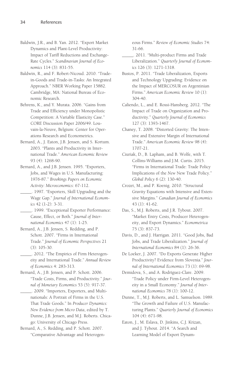- Baldwin, J.R., and B. Yan. 2012. "Export Market Dynamics and Plant-Level Productivity: Impact of Tariff Reductions and Exchange-Rate Cycles." *Scandinavian Journal of Economics* 114 (3): 831-55.
- Baldwin, R., and F. Robert-Nicoud. 2010. "Tradein-Goods and Trade-in-Tasks: An Integrated Approach." NBER Working Paper 15882. Cambridge, MA: National Bureau of Economic Research.
- Behrens, K., and Y. Murata. 2006. "Gains from Trade and Efficiency under Monopolistic Competition: A Variable Elasticity Case." CORE Discussion Paper 2006/49. Louvain-la-Neuve, Belgium: Center for Operations Research and Econometrics.
- Bernard, A., J. Eaton, J.B. Jensen, and S. Kortum. 2003. "Plants and Productivity in International Trade." *American Economic Review* 93 (4): 1268-90.
- Bernard, A., and J.B. Jensen. 1995. "Exporters, Jobs, and Wages in U.S. Manufacturing: 1976-87." *Brookings Papers on Economic Activity: Microeconomics*: 67-112.
- \_\_\_\_\_. 1997. "Exporters, Skill Upgrading and the Wage Gap." *Journal of International Economics* 42 (1-2): 3-31.
- \_\_\_\_\_. 1999. "Exceptional Exporter Performance: Cause, Effect, or Both." *Journal of International Economics* 47 (1): 1-25.
- Bernard, A., J.B. Jensen, S. Redding, and P. Schott. 2007. "Firms in International Trade." *Journal of Economic Perspectives* 21 (3): 105-30.
	- \_\_\_\_\_. 2012. "The Empirics of Firm Heterogeneity and International Trade." *Annual Review of Economics* 4: 283-313.
- Bernard, A., J.B. Jensen, and P. Schott. 2006. "Trade Costs, Firms, and Productivity." *Journal of Monetary Economics* 53 (5): 917-37.
- \_\_\_\_\_. 2009. "Importers, Exporters, and Multinationals: A Portrait of Firms in the U.S. That Trade Goods." In *Producer Dynamics: New Evidence from Micro Data*, edited by T. Dunne, J.B. Jensen, and M.J. Roberts. Chicago: University of Chicago Press.
- Bernard, A., S. Redding, and P. Schott. 2007. "Comparative Advantage and Heterogen-

eous Firms." *Review of Economic Studies* 74: 31-66.

- \_\_\_\_\_. 2011. "Multi-product Firms and Trade Liberalization." *Quarterly Journal of Economics* 126 (3): 1271-1318.
- Bustos, P. 2011. "Trade Liberalization, Exports and Technology Upgrading: Evidence on the Impact of MERCOSUR on Argentinian Firms." *American Economic Review* 10 (1): 304-40.
- Caliendo, L., and E. Rossi-Hansberg. 2012. "The Impact of Trade on Organization and Productivity." *Quarterly Journal of Economics* 127 (3): 1393-1467.
- Chaney, T. 2008. "Distorted Gravity: The Intensive and Extensive Margin of International Trade." *American Economic Review* 98 (4): 1707-21.
- Ciuriak, D., B. Lapham, and B. Wolfe, with T. Collins-Williams and J.M. Curtis. 2015. "Firms in International Trade: Trade Policy Implications of the *New* New Trade Policy." *Global Policy* 6 (2): 130-40.
- Crozet, M., and P. Koenig. 2010. "Structural Gravity Equations with Intensive and Extensive Margins." *Canadian Journal of Economics* 43 (1): 41-62.
- Das, S., M.J. Roberts, and J.R. Tybout. 2007. "Market Entry Costs, Producer Heterogeneity, and Export Dynamics." *Econometrica* 75 (3): 837-73.
- Davis, D., and J. Harrigan. 2011. "Good Jobs, Bad Jobs, and Trade Liberalization." *Journal of International Economics* 84 (1): 26-36.
- De Loeker, J. 2007. "Do Exports Generate Higher Productivity? Evidence from Slovenia." *Journal of International Economics* 73 (1): 69-98.
- Demidova, S., and A. Rodríguez-Clare. 2009. "Trade Policy under Firm-Level Heterogeneity in a Small Economy." *Journal of International Economics* 78 (1): 100-12.
- Dunne, T., M.J. Roberts, and L. Samuelson. 1989. "The Growth and Failure of U.S. Manufacturing Plants." *Quarterly Journal of Economics* 104 (4): 671-98.
- Eaton, J., M. Eslava, D. Jinkins, C.J. Krizan, and J. Tybout. 2014. "A Search and Learning Model of Export Dynam-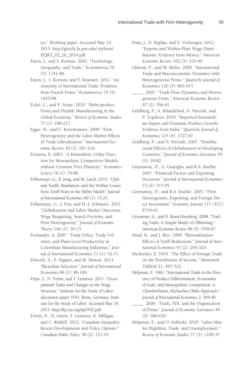ics." Working paper. Accessed May 19, 2015. http://grizzly.la.psu.edu/~jtybout/ EEJKT\_02\_26\_2014.pdf

- Eaton, J., and S. Kortum. 2002. "Technology, Geography, and Trade." *Econometrica* 70 (5): 1741-80.
- Eaton, J., S. Kortum, and F. Kramarz. 2011. "An Anatomy of International Trade: Evidence from French Firms." *Econometrica* 79 (5): 1453-98.
- Eckel, C., and P. Neary. 2010. "Multi-product Firms and Flexible Manufacturing in the Global Economy." *Review of Economic Studies* 77 (1): 188-217.
- Egger, H., and U. Kreickemeier. 2009. "Firm Heterogeneity and the Labor Market Effects of Trade Liberalization." *International Economic Review* 50 (1): 187-216.
- Feenstra, R. 2003. "A Homothetic Utility Function for Monopolistic Competition Models without Constant Price Elasticity." *Economics Letters* 78 (1): 79-86.
- Felbermayr, G., B. Jung, and M. Larch. 2013. "Optimal Tariffs, Retaliation, and the Welfare Losses from Tariff Wars in the Melitz Model." *Journal of International Economics* 89 (1): 13-25.
- Felbermayr, G., J. Prat, and H.-J. Schmerer. 2011. "Globalization and Labor Market Outcomes: Wage Bargaining, Search Frictions, and Firm Heterogeneity." *Journal of Economic Theory* 146 (1): 39-73.
- Fernandes, A. 2007. "Trade Policy, Trade Volumes, and Plant-Level Productivity in Colombian Manufacturing Industries." *Journal of International Economics* 71 (1): 52-71.
- Finicelli, A., P. Pagano, and M. Sbracia. 2013. "Ricardian Selection." *Journal of International Economics* 89 (1): 96-109.
- Firpo, S., N. Fortin, and T. Lemieux. 2011. "Occupational Tasks and Changes in the Wage Structure." Institute for the Study of Labor discussion paper 5542. Bonn, Germany: Institute for the Study of Labor. Accessed May 19, 2015. http://ftp.iza.org/dp5542.pdf
- Fortin, N., D. Green, T. Lemieux, K. Milligan, and C. Riddell. 2012. "Canadian Inequality: Recent Developments and Policy Options." *Canadian Public Policy* 38 (2): 121-45.
- Fraís, J., D. Kaplan, and E. Verhoogen. 2012. "Exports and Within-Plant Wage Distributions: Evidence from Mexico." *American Economic Review* 102 (3): 435-40.
- Ghironi, F., and M. Melitz. 2005. "International Trade and Macroeconomic Dynamics with Heterogeneous Firms." *Quarterly Journal of Economics* 120 (3): 865-915.
- \_\_\_\_\_. 2007. "Trade Flow Dynamics and Heterogeneous Firms." *American Economic Review* 97 (2): 356-61.
- Goldberg, P., A. Khandelwal, N. Pavcnik, and P. Topalova. 2010. "Imported Intermediate Inputs and Domestic Product Growth: Evidence from India." *Quarterly Journal of Economics* 125 (4): 1727-67.
- Goldberg, P., and N. Pavcnik. 2007. "Distributional Effects of Globalization in Developing Countries." *Journal of Economic Literature* 45 (1): 39-82.
- Greenaway, D., G. Guariglia, and R.A. Kneller. 2007. "Financial Factors and Exporting Decisions." *Journal of International Economics* 73 (2): 377-95.
- Greenaway, D., and R.A. Kneller. 2007. "Firm Heterogeneity, Exporting, and Foreign Direct Investment." *Economic Journal* 117 (517): F134-61.
- Grossman, G., and E. Rossi-Hansberg. 2008. "Trading Tasks: A Simple Model of Offshoring." *American Economic Review* 98 (5): 1978-97.
- Head, K., and J. Ries. 1999. "Rationalization Effects of Tariff Reductions." *Journal of International Economics* 47 (2): 295-320.
- Heckscher, E. 1919. "The Effect of Foreign Trade on the Distribution of Income." *Ekonomisk Tidskrift* 21: 497-512.
- Helpman, E. 1981. "International Trade in the Presence of Product Differentiation, Economies of Scale, and Monopolistic Competition: A Chamberlinian, Heckscher-Ohlin Approach." *Journal of International Economics* 2: 304-40.
- \_\_\_\_\_. 2006. "Trade, FDI, and the Organization of Firms." *Journal of Economic Literature* 44 (3): 589-630.
- Helpman, E., and O. Itskhoki. 2010. "Labor Market Rigidities, Trade, and Unemployment." *Review of Economic Studies* 77 (3): 1100-37.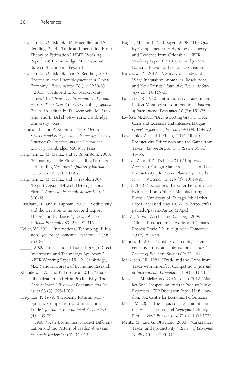- Helpman, E., O. Itskhoki, M. Muendler, and S. Redding. 2014. "Trade and Inequality: From Theory to Estimation." NBER Working Paper 17991. Cambridge, MA: National Bureau of Economic Research.
- Helpman, E., O. Itskhoki, and S. Redding. 2010. "Inequality and Unemployment in a Global Economy." *Econometrica* 78 (4): 1239-83.
	- \_\_\_\_\_. 2013. "Trade and Labor Market Outcomes." In *Advances in Economics and Econometrics: Tenth World Congress*, vol. 2, *Applied Economics*, edited by D. Acemoglu, M. Arellano, and E. Dekel. New York: Cambridge University Press.
- Helpman, E., and P. Krugman. 1985. *Market Structure and Foreign Trade: Increasing Returns, Imperfect Competition, and the International Economy.* Cambridge, MA: MIT Press.
- Helpman, E., M. Melitz, and Y. Rubinstein. 2008. "Estimating Trade Flows: Trading Partners and Trading Volumes." *Quarterly Journal of Economics* 123 (2): 441-87.
- Helpman, E., M. Melitz, and S. Yeaple. 2004. "Export versus FDI with Heterogeneous Firms." *American Economic Review* 94 (1): 300-16.
- Kasahara, H., and B. Lapham. 2013. "Productivity and the Decision to Import and Export: Theory and Evidence." *Journal of International Economics* 89 (2): 297-316.
- Keller, W. 2004. "International Technology Diffusion." *Journal of Economic Literature* 42 (3): 752-82.
	- \_\_\_\_\_. 2009. "International Trade, Foreign Direct Investment, and Technology Spillovers." NBER Working Paper 15442. Cambridge, MA: National Bureau of Economic Research.
- Khandelwal, A., and P. Topalova. 2011. "Trade Liberalization and Firm Productivity: The Case of India." *Review of Economics and Statistics* 93 (3): 995-1009.
- Krugman, P. 1979. "Increasing Returns, Monopolistic Competition, and International Trade." *Journal of International Economics* 9 (4): 469-79.
	- \_\_\_\_\_. 1980. "Scale Economies, Product Differentiation and the Pattern of Trade." *American Economic Review* 70 (5): 950-59.
- Kugler, M., and E. Verhoogen. 2008. "The Quality-Complementarity Hypothesis: Theory and Evidence from Colombia." NBER Working Paper 14418. Cambridge, MA: National Bureau of Economic Research.
- Kurokawa, Y. 2012. "A Survey of Trade and Wage Inequality: Anomalies, Resolutions, and New Trends." *Journal of Economic Surveys* 28 (1): 169-83.
- Lancaster, K. 1980. "Intra-industry Trade under Perfect Monopolistic Competition." *Journal of International Economics* 10 (2): 151-75.
- Lawless, M. 2010. "Deconstructing Gravity: Trade Costs and Extensive and Intensive Margins." *Canadian Journal of Economics* 43 (4): 1149-72.
- Levchenko, A., and J. Zhang. 2014. "Ricardian Productivity Differences and the Gains from Trade." *European Economic Review* 65 (C): 45-65.
- Lileeva, A., and D. Trefler. 2010. "Improved Access to Foreign Markets Raises Plant-Level Productivity…for Some Plants." *Quarterly Journal of Economics* 125 (3): 1051-99.
- Lu, D. 2010. "Exceptional Exporter Performance? Evidence from Chinese Manufacturing Firms." University of Chicago Job Market Paper. Accessed May 19, 2015. http://crifes. psu.edu/papers/DanLuJMP.pdf
- Ma, A., A. Van Assche, and C. Hong. 2009. "Global Production Networks and China's Process Trade." *Journal of Asian Economics* 20 (6): 640-54.
- Manova, K. 2013. "Credit Constraints, Heterogeneous Firms, and International Trade." *Review of Economic Studies* 80: 711-44.
- Markusen, J.R. 1981. "Trade and the Gains from Trade with Imperfect Competition." *Journal of International Economics* 11 (4): 531-51.
- Mayer, T., M. Melitz, and G. Ottaviano. 2012. "Market Size, Competition, and the Product Mix of Exporters." CEP Discussion Paper 1146. London, UK: Centre for Economic Performance.
- Melitz, M. 2003. "The Impact of Trade on Intra-industry Reallocations and Aggregate Industry Productivity." *Econometrica* 71 (6): 1695-1725.
- Melitz, M., and G. Ottaviano. 2008. "Market Size, Trade, and Productivity." *Review of Economic Studies* 75 (1): 295-316.